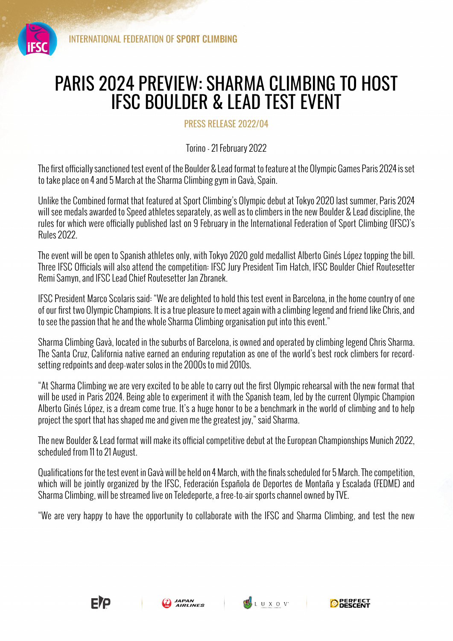

## PARIS 2024 PREVIEW: SHARMA CLIMBING TO HOST IFSC BOULDER & LEAD TEST EVENT

PRESS RELEASE 2022/04

Torino - 21 February 2022

The first officially sanctioned test event of the Boulder & Lead format to feature at the Olympic Games Paris 2024 is set to take place on 4 and 5 March at the Sharma Climbing gym in Gavà, Spain.

Unlike the Combined format that featured at Sport Climbing's Olympic debut at Tokyo 2020 last summer, Paris 2024 will see medals awarded to Speed athletes separately, as well as to climbers in the new Boulder & Lead discipline, the rules for which were officially published last on 9 February in the International Federation of Sport Climbing (IFSC)'s Rules 2022.

The event will be open to Spanish athletes only, with Tokyo 2020 gold medallist Alberto Ginés López topping the bill. Three IFSC Officials will also attend the competition: IFSC Jury President Tim Hatch, IFSC Boulder Chief Routesetter Remi Samyn, and IFSC Lead Chief Routesetter Jan Zbranek.

IFSC President Marco Scolaris said: "We are delighted to hold this test event in Barcelona, in the home country of one of our first two Olympic Champions. It is a true pleasure to meet again with a climbing legend and friend like Chris, and to see the passion that he and the whole Sharma Climbing organisation put into this event."

Sharma Climbing Gavà, located in the suburbs of Barcelona, is owned and operated by climbing legend Chris Sharma. The Santa Cruz, California native earned an enduring reputation as one of the world's best rock climbers for recordsetting redpoints and deep-water solos in the 2000s to mid 2010s.

"At Sharma Climbing we are very excited to be able to carry out the first Olympic rehearsal with the new format that will be used in Paris 2024. Being able to experiment it with the Spanish team, led by the current Olympic Champion Alberto Ginés López, is a dream come true. It's a huge honor to be a benchmark in the world of climbing and to help project the sport that has shaped me and given me the greatest joy," said Sharma.

The new Boulder & Lead format will make its official competitive debut at the European Championships Munich 2022, scheduled from 11 to 21 August.

Qualifications for the test event in Gavà will be held on 4 March, with the finals scheduled for 5 March. The competition, which will be jointly organized by the IFSC, Federación Española de Deportes de Montaña y Escalada (FEDME) and Sharma Climbing, will be streamed live on Teledeporte, a free-to-air sports channel owned by TVE.

"We are very happy to have the opportunity to collaborate with the IFSC and Sharma Climbing, and test the new